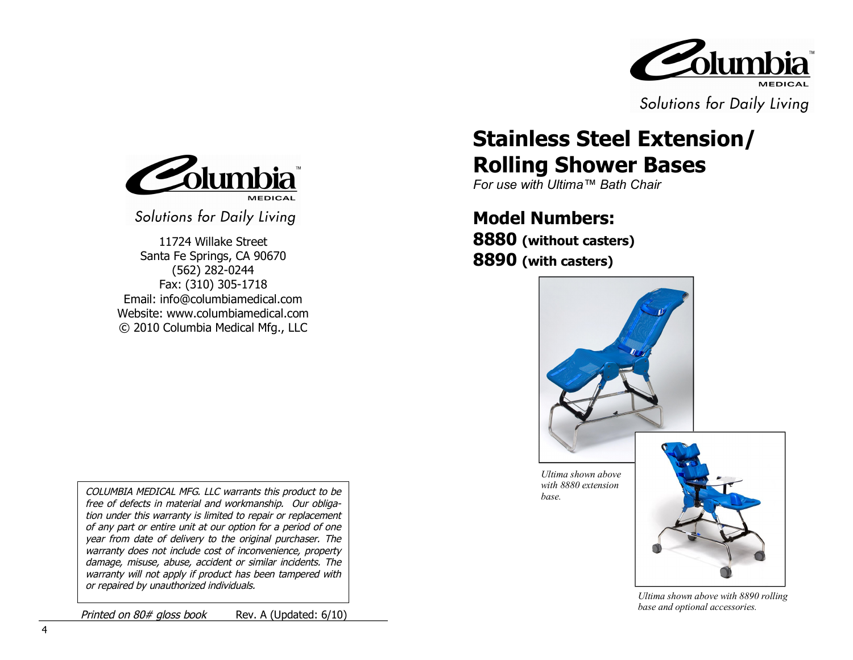

Solutions for Daily Living

## Columb **MEDICAL**

Solutions for Daily Living

11724 Willake Street Santa Fe Springs, CA 90670 (562) 282-0244 Fax: (310) 305-1718 Email: info@columbiamedical.com Website: www.columbiamedical.com © 2010 Columbia Medical Mfg., LLC

*COLUMBIA MEDICAL MFG. LLC warrants this product to be free of defects in material and workmanship. Our obligation under this warranty is limited to repair or replacement of any part or entire unit at our option for a period of one year from date of delivery to the original purchaser. The warranty does not include cost of inconvenience, property damage, misuse, abuse, accident or similar incidents. The warranty will not apply if product has been tampered with or repaired by unauthorized individuals.* 

*Printed on 80# gloss book* Rev. A (Updated: 6/10)

## **Stainless Steel Extension/ Rolling Shower Bases**

*For use with Ultima™ Bath Chair*

# **Model Numbers:**

**8880 (without casters) 8890 (with casters)**



*Ultima shown above with 8880 extension base.*



*Ultima shown above with 8890 rolling base and optional accessories.*